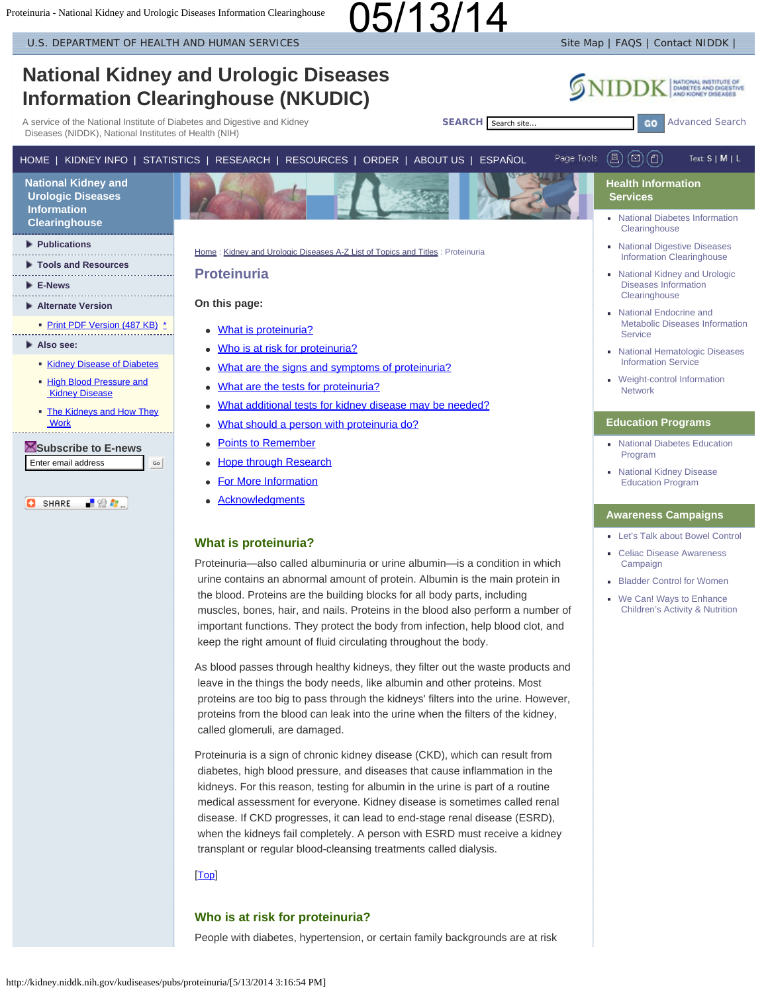<span id="page-0-4"></span>[U.S. DEPARTMENT OF HEALTH AND HUMAN SERVICES](http://www.dhhs.gov/) SITE MAP IS A SITE MAP IT ALSO SITE MAP IT ACCESS I CONTACT NIDDK

<span id="page-0-3"></span><span id="page-0-2"></span><span id="page-0-1"></span><span id="page-0-0"></span>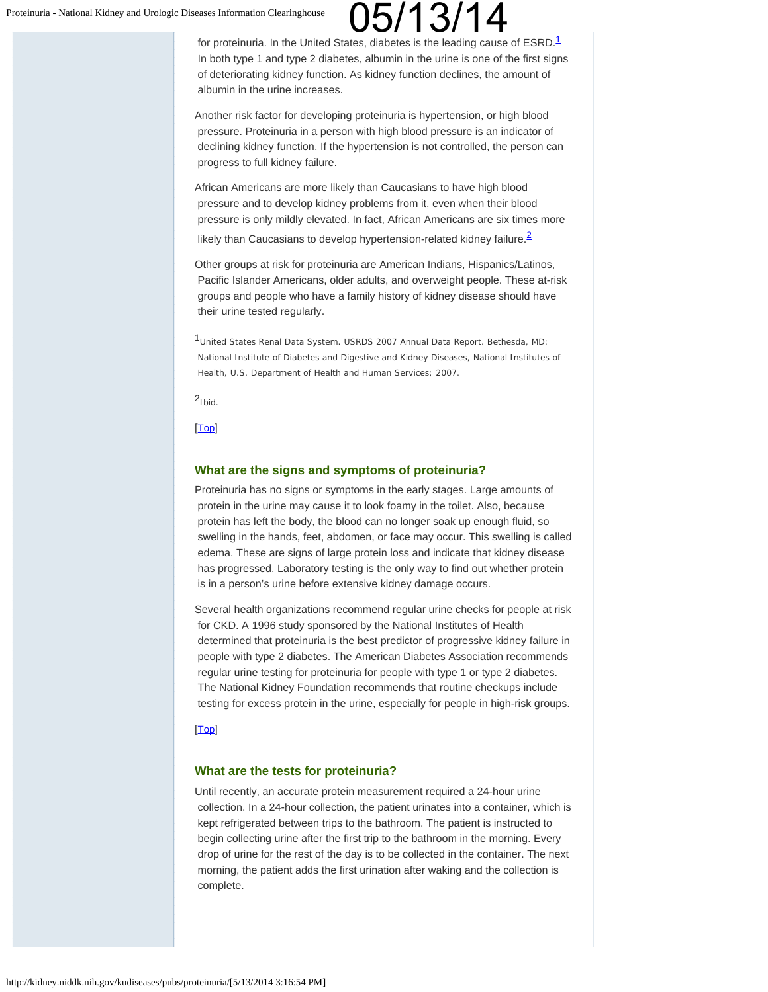for proteinuria. In the United States, diabetes is the leading cause of ESRD.<sup>[1](#page-1-2)</sup> In both type 1 and type 2 diabetes, albumin in the urine is one of the first signs of deteriorating kidney function. As kidney function declines, the amount of albumin in the urine increases.

Another risk factor for developing proteinuria is hypertension, or high blood pressure. Proteinuria in a person with high blood pressure is an indicator of declining kidney function. If the hypertension is not controlled, the person can progress to full kidney failure.

African Americans are more likely than Caucasians to have high blood pressure and to develop kidney problems from it, even when their blood pressure is only mildly elevated. In fact, African Americans are six times more

likely than Caucasians to develop hypertension-related kidney failure. $\frac{2}{3}$  $\frac{2}{3}$  $\frac{2}{3}$ 

Other groups at risk for proteinuria are American Indians, Hispanics/Latinos, Pacific Islander Americans, older adults, and overweight people. These at-risk groups and people who have a family history of kidney disease should have their urine tested regularly.

<span id="page-1-2"></span>1United States Renal Data System. *USRDS 2007 Annual Data Report*. Bethesda, MD: National Institute of Diabetes and Digestive and Kidney Diseases, National Institutes of Health, U.S. Department of Health and Human Services; 2007.

<span id="page-1-3"></span> $2_{\text{Ibid}}$ 

<span id="page-1-0"></span>[\[Top](#page-0-3)]

### **What are the signs and symptoms of proteinuria?**

Proteinuria has no signs or symptoms in the early stages. Large amounts of protein in the urine may cause it to look foamy in the toilet. Also, because protein has left the body, the blood can no longer soak up enough fluid, so swelling in the hands, feet, abdomen, or face may occur. This swelling is called edema. These are signs of large protein loss and indicate that kidney disease has progressed. Laboratory testing is the only way to find out whether protein is in a person's urine before extensive kidney damage occurs.

Several health organizations recommend regular urine checks for people at risk for CKD. A 1996 study sponsored by the National Institutes of Health determined that proteinuria is the best predictor of progressive kidney failure in people with type 2 diabetes. The American Diabetes Association recommends regular urine testing for proteinuria for people with type 1 or type 2 diabetes. The National Kidney Foundation recommends that routine checkups include testing for excess protein in the urine, especially for people in high-risk groups.

### <span id="page-1-1"></span>[\[Top](#page-0-3)]

### **What are the tests for proteinuria?**

Until recently, an accurate protein measurement required a 24-hour urine collection. In a 24-hour collection, the patient urinates into a container, which is kept refrigerated between trips to the bathroom. The patient is instructed to begin collecting urine after the first trip to the bathroom in the morning. Every drop of urine for the rest of the day is to be collected in the container. The next morning, the patient adds the first urination after waking and the collection is complete.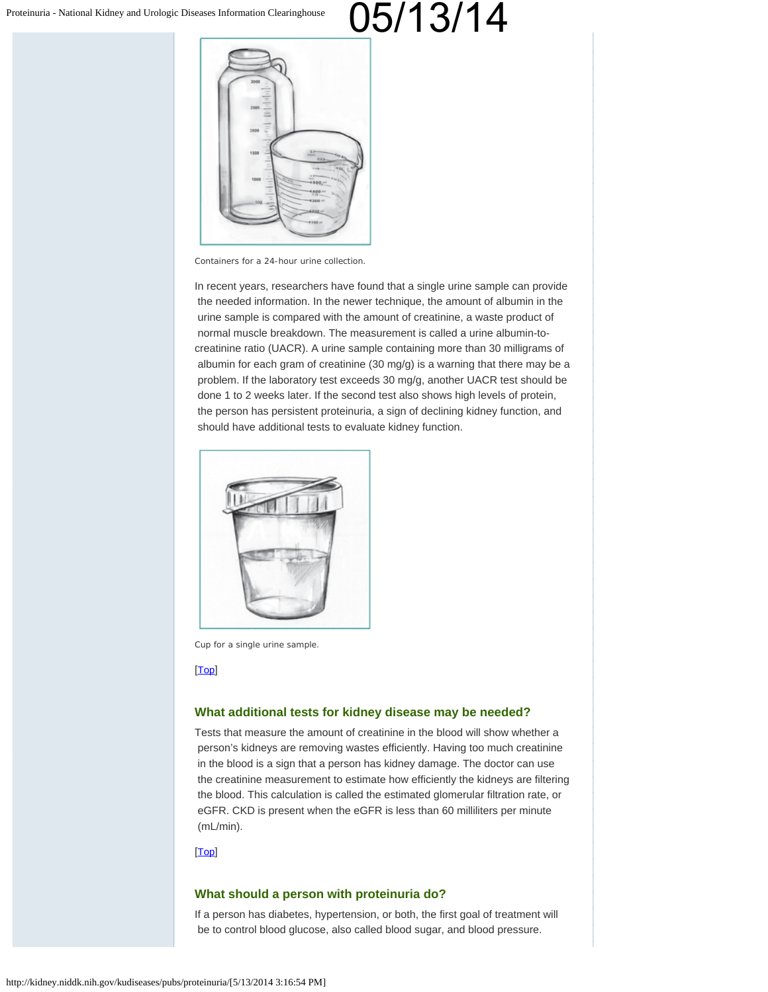

Containers for a 24-hour urine collection.

In recent years, researchers have found that a single urine sample can provide the needed information. In the newer technique, the amount of albumin in the urine sample is compared with the amount of creatinine, a waste product of normal muscle breakdown. The measurement is called a urine albumin-tocreatinine ratio (UACR). A urine sample containing more than 30 milligrams of albumin for each gram of creatinine (30 mg/g) is a warning that there may be a problem. If the laboratory test exceeds 30 mg/g, another UACR test should be done 1 to 2 weeks later. If the second test also shows high levels of protein, the person has persistent proteinuria, a sign of declining kidney function, and should have additional tests to evaluate kidney function.



Cup for a single urine sample.

#### <span id="page-2-0"></span>[\[Top](#page-0-3)]

### **What additional tests for kidney disease may be needed?**

Tests that measure the amount of creatinine in the blood will show whether a person's kidneys are removing wastes efficiently. Having too much creatinine in the blood is a sign that a person has kidney damage. The doctor can use the creatinine measurement to estimate how efficiently the kidneys are filtering the blood. This calculation is called the estimated glomerular filtration rate, or eGFR. CKD is present when the eGFR is less than 60 milliliters per minute (mL/min).

### <span id="page-2-1"></span>[\[Top](#page-0-3)]

### **What should a person with proteinuria do?**

If a person has diabetes, hypertension, or both, the first goal of treatment will be to control blood glucose, also called blood sugar, and blood pressure.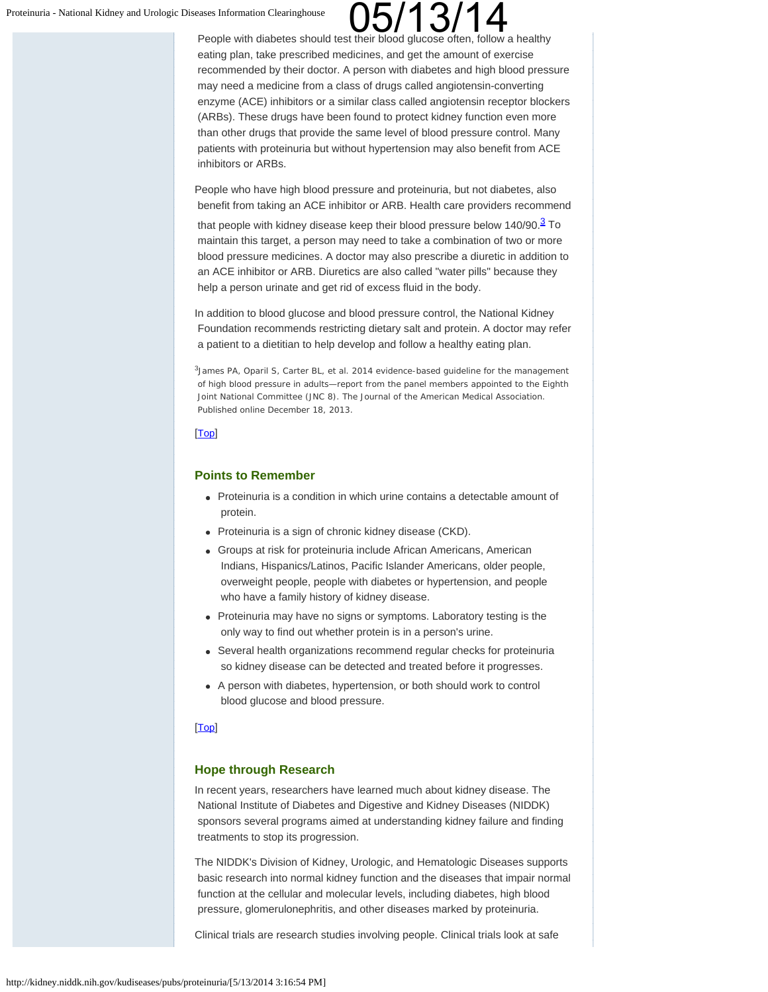# eases Information Clearinghouse **COD/13/14**<br>People with diabetes should test their blood glucose often, follow a healthy

 eating plan, take prescribed medicines, and get the amount of exercise recommended by their doctor. A person with diabetes and high blood pressure may need a medicine from a class of drugs called angiotensin-converting enzyme (ACE) inhibitors or a similar class called angiotensin receptor blockers (ARBs). These drugs have been found to protect kidney function even more than other drugs that provide the same level of blood pressure control. Many patients with proteinuria but without hypertension may also benefit from ACE inhibitors or ARBs.

People who have high blood pressure and proteinuria, but not diabetes, also benefit from taking an ACE inhibitor or ARB. Health care providers recommend

that people with kidney disease keep their blood pressure below  $140/90.\frac{3}{5}$  To maintain this target, a person may need to take a combination of two or more blood pressure medicines. A doctor may also prescribe a diuretic in addition to an ACE inhibitor or ARB. Diuretics are also called "water pills" because they help a person urinate and get rid of excess fluid in the body.

In addition to blood glucose and blood pressure control, the National Kidney Foundation recommends restricting dietary salt and protein. A doctor may refer a patient to a dietitian to help develop and follow a healthy eating plan.

<sup>3</sup>James PA, Oparil S, Carter BL, et al. 2014 evidence-based guideline for the management of high blood pressure in adults—report from the panel members appointed to the Eighth Joint National Committee (JNC 8). *The Journal of the American Medical Association.* Published online December 18, 2013.

### <span id="page-3-0"></span>[\[Top](#page-0-3)]

### **Points to Remember**

- Proteinuria is a condition in which urine contains a detectable amount of protein.
- Proteinuria is a sign of chronic kidney disease (CKD).
- Groups at risk for proteinuria include African Americans, American Indians, Hispanics/Latinos, Pacific Islander Americans, older people, overweight people, people with diabetes or hypertension, and people who have a family history of kidney disease.
- Proteinuria may have no signs or symptoms. Laboratory testing is the only way to find out whether protein is in a person's urine.
- Several health organizations recommend regular checks for proteinuria so kidney disease can be detected and treated before it progresses.
- A person with diabetes, hypertension, or both should work to control blood glucose and blood pressure.

#### <span id="page-3-1"></span>[**Top**]

### **Hope through Research**

In recent years, researchers have learned much about kidney disease. The National Institute of Diabetes and Digestive and Kidney Diseases (NIDDK) sponsors several programs aimed at understanding kidney failure and finding treatments to stop its progression.

The NIDDK's Division of Kidney, Urologic, and Hematologic Diseases supports basic research into normal kidney function and the diseases that impair normal function at the cellular and molecular levels, including diabetes, high blood pressure, glomerulonephritis, and other diseases marked by proteinuria.

Clinical trials are research studies involving people. Clinical trials look at safe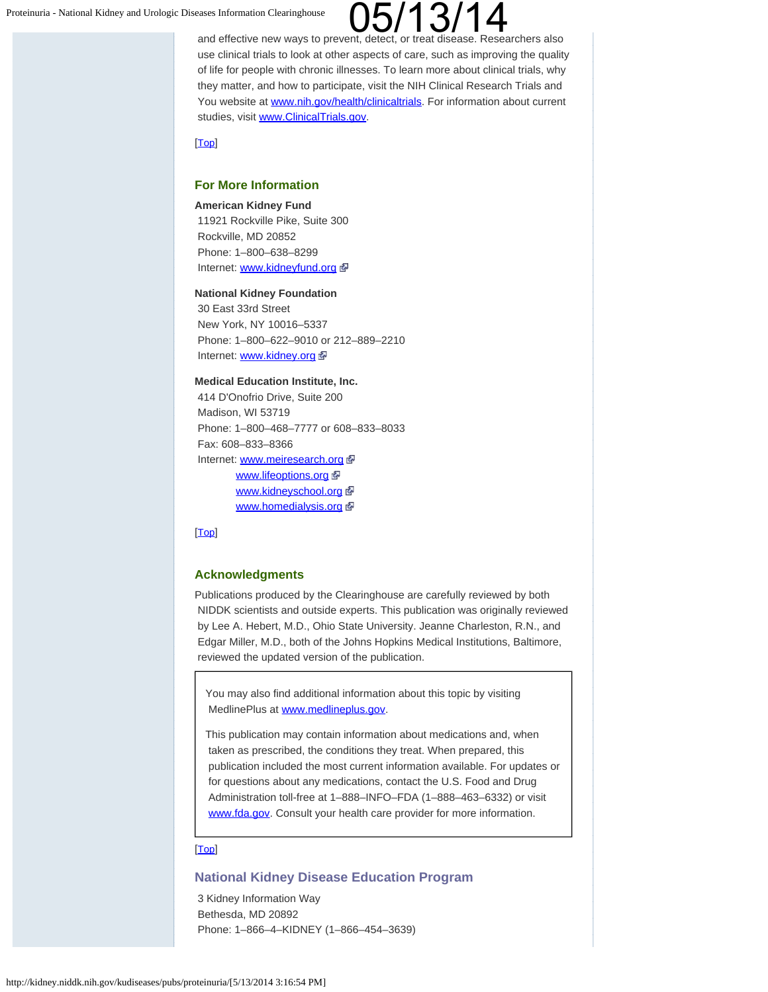and effective new ways to prevent, detect, or treat disease. Researchers also use clinical trials to look at other aspects of care, such as improving the quality of life for people with chronic illnesses. To learn more about clinical trials, why they matter, and how to participate, visit the NIH Clinical Research Trials and You website at [www.nih.gov/health/clinicaltrials](http://www.nih.gov/health/clinicaltrials). For information about current studies, visit [www.ClinicalTrials.gov](http://www.clinicaltrials.gov/).

### <span id="page-4-0"></span>[\[Top](#page-0-3)]

### **For More Information**

#### **American Kidney Fund**

11921 Rockville Pike, Suite 300 Rockville, MD 20852 Phone: 1–800–638–8299 Internet: [www.kidneyfund.org](http://www.kidneyfund.org/) d

### **National Kidney Foundation**

30 East 33rd Street New York, NY 10016–5337 Phone: 1–800–622–9010 or 212–889–2210 Internet: [www.kidney.org](http://www.kidney.org/) a

#### **Medical Education Institute, Inc.**

414 D'Onofrio Drive, Suite 200 Madison, WI 53719 Phone: 1–800–468–7777 or 608–833–8033 Fax: 608–833–8366 Internet: [www.meiresearch.org](http://www.meiresearch.org/) a [www.lifeoptions.org](http://www.lifeoptions.org/) & [www.kidneyschool.org](http://www.kidneyschool.org/) [www.homedialysis.org](http://www.homedialysis.org/)

### <span id="page-4-1"></span>[\[Top](#page-0-3)]

### **Acknowledgments**

Publications produced by the Clearinghouse are carefully reviewed by both NIDDK scientists and outside experts. This publication was originally reviewed by Lee A. Hebert, M.D., Ohio State University. Jeanne Charleston, R.N., and Edgar Miller, M.D., both of the Johns Hopkins Medical Institutions, Baltimore, reviewed the updated version of the publication.

You may also find additional information about this topic by visiting MedlinePlus at [www.medlineplus.gov](http://www.medlineplus.gov/).

This publication may contain information about medications and, when taken as prescribed, the conditions they treat. When prepared, this publication included the most current information available. For updates or for questions about any medications, contact the U.S. Food and Drug Administration toll-free at 1–888–INFO–FDA (1–888–463–6332) or visit [www.fda.gov](http://www.fda.gov/). Consult your health care provider for more information.

### [\[Top](#page-0-3)]

### **National Kidney Disease Education Program**

 3 Kidney Information Way Bethesda, MD 20892 Phone: 1–866–4–KIDNEY (1–866–454–3639)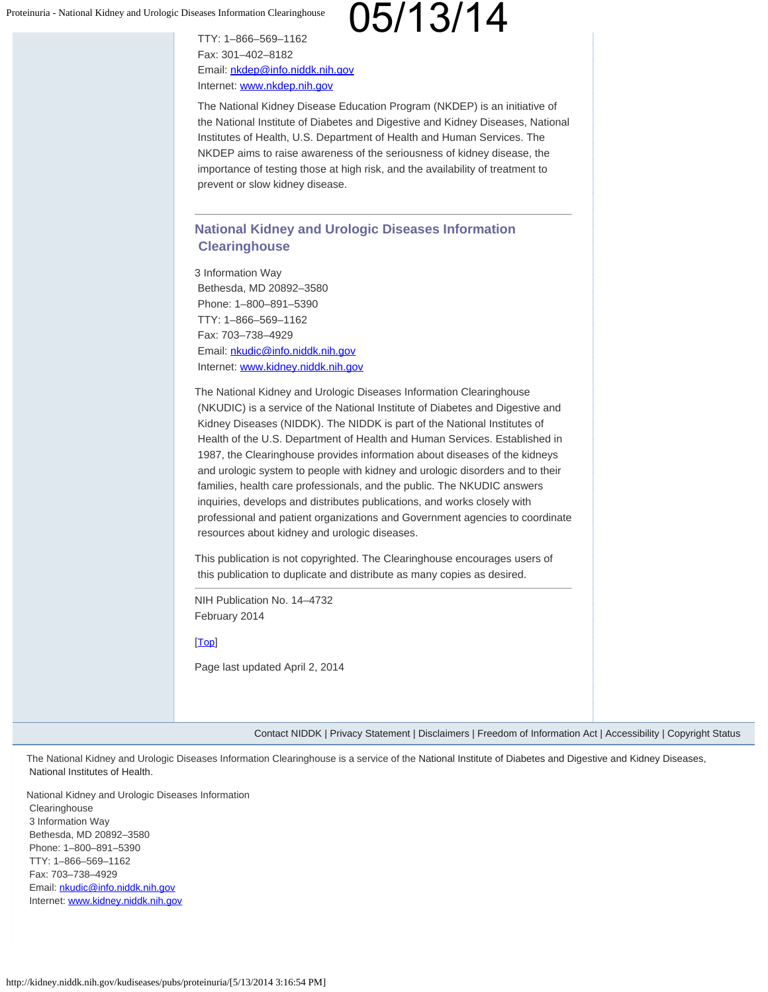TTY: 1–866–569–1162 Fax: 301–402–8182 Email: [nkdep@info.niddk.nih.gov](mailto:nkdep@info.niddk.nih.gov) Internet: [www.nkdep.nih.gov](http://www.nkdep.nih.gov/)

The National Kidney Disease Education Program (NKDEP) is an initiative of the National Institute of Diabetes and Digestive and Kidney Diseases, National Institutes of Health, U.S. Department of Health and Human Services. The NKDEP aims to raise awareness of the seriousness of kidney disease, the importance of testing those at high risk, and the availability of treatment to prevent or slow kidney disease.

### **National Kidney and Urologic Diseases Information Clearinghouse**

3 Information Way Bethesda, MD 20892–3580 Phone: 1–800–891–5390 TTY: 1–866–569–1162 Fax: 703–738–4929 Email: [nkudic@info.niddk.nih.gov](mailto:nkudic@info.niddk.nih.gov) Internet: [www.kidney.niddk.nih.gov](http://www.kidney.niddk.nih.gov/)

The National Kidney and Urologic Diseases Information Clearinghouse (NKUDIC) is a service of the National Institute of Diabetes and Digestive and Kidney Diseases (NIDDK). The NIDDK is part of the National Institutes of Health of the U.S. Department of Health and Human Services. Established in 1987, the Clearinghouse provides information about diseases of the kidneys and urologic system to people with kidney and urologic disorders and to their families, health care professionals, and the public. The NKUDIC answers inquiries, develops and distributes publications, and works closely with professional and patient organizations and Government agencies to coordinate resources about kidney and urologic diseases.

This publication is not copyrighted. The Clearinghouse encourages users of this publication to duplicate and distribute as many copies as desired.

NIH Publication No. 14–4732 February 2014

[\[Top](#page-0-3)]

Page last updated April 2, 2014

[Contact NIDDK](http://www2.niddk.nih.gov/Footer/ContactNIDDK.htm) | [Privacy Statement](http://www2.niddk.nih.gov/Footer/Privacy.htm) | [Disclaimers](http://www2.niddk.nih.gov/Footer/Disclaimer.htm) | [Freedom of Information Act](http://www2.niddk.nih.gov/Footer/FOIA.htm) | [Accessibility](http://www.niddk.nih.gov/Pages/accessibility.aspx) | [Copyright Status](http://www2.niddk.nih.gov/Footer/Copyright.htm)

The National Kidney and Urologic Diseases Information Clearinghouse is a service of the [National Institute of Diabetes and Digestive and Kidney Diseases](http://www2.niddk.nih.gov/), [National Institutes of Health](http://www.nih.gov/).

National Kidney and Urologic Diseases Information **Clearinghouse** 3 Information Way Bethesda, MD 20892–3580 Phone: 1–800–891–5390 TTY: 1–866–569–1162 Fax: 703–738–4929 Email: [nkudic@info.niddk.nih.gov](mailto:nkudic@info.niddk.nih.gov) Internet: [www.kidney.niddk.nih.gov](http://kidney.niddk.nih.gov/index.aspx)